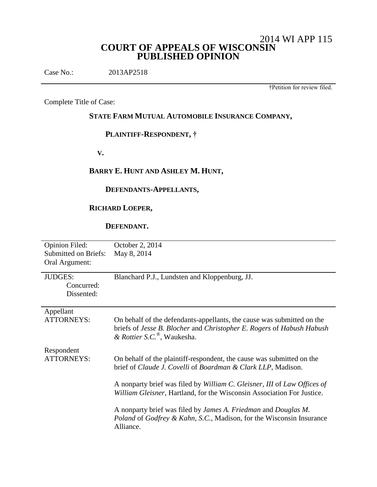# 2014 WI APP 115 **COURT OF APPEALS OF WISCONSIN PUBLISHED OPINION**

Case No.: 2013AP2518

†Petition for review filed.

Complete Title of Case:

# **STATE FARM MUTUAL AUTOMOBILE INSURANCE COMPANY,**

# **PLAINTIFF-RESPONDENT, †**

 **V.**

# **BARRY E. HUNT AND ASHLEY M. HUNT,**

## **DEFENDANTS-APPELLANTS,**

# **RICHARD LOEPER,**

### **DEFENDANT.**

| <b>Opinion Filed:</b>       | October 2, 2014                                                                                                                                                                              |
|-----------------------------|----------------------------------------------------------------------------------------------------------------------------------------------------------------------------------------------|
| <b>Submitted on Briefs:</b> | May 8, 2014                                                                                                                                                                                  |
| Oral Argument:              |                                                                                                                                                                                              |
| <b>JUDGES:</b>              | Blanchard P.J., Lundsten and Kloppenburg, JJ.                                                                                                                                                |
| Concurred:                  |                                                                                                                                                                                              |
| Dissented:                  |                                                                                                                                                                                              |
|                             |                                                                                                                                                                                              |
| Appellant                   |                                                                                                                                                                                              |
| <b>ATTORNEYS:</b>           | On behalf of the defendants-appellants, the cause was submitted on the<br>briefs of Jesse B. Blocher and Christopher E. Rogers of Habush Habush<br>& Rottier S.C. <sup>®</sup> , Waukesha.   |
| Respondent                  |                                                                                                                                                                                              |
| <b>ATTORNEYS:</b>           | On behalf of the plaintiff-respondent, the cause was submitted on the<br>brief of Claude J. Covelli of Boardman & Clark LLP, Madison.                                                        |
|                             | A nonparty brief was filed by William C. Gleisner, III of Law Offices of<br>William Gleisner, Hartland, for the Wisconsin Association For Justice.                                           |
|                             | A nonparty brief was filed by <i>James A. Friedman</i> and <i>Douglas M.</i><br><i>Poland</i> of <i>Godfrey &amp; Kahn</i> , <i>S.C.</i> , Madison, for the Wisconsin Insurance<br>Alliance. |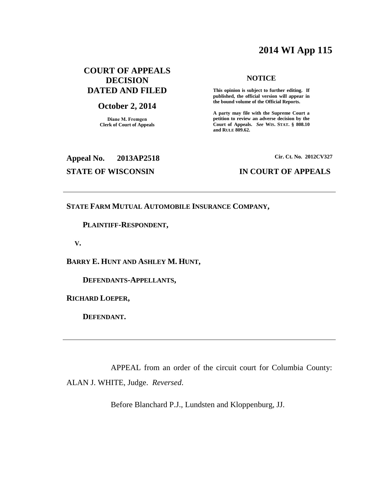# **2014 WI App 115**

# **COURT OF APPEALS DECISION DATED AND FILED**

### **October 2, 2014**

**Diane M. Fremgen Clerk of Court of Appeals**

### **NOTICE**

**This opinion is subject to further editing. If published, the official version will appear in the bound volume of the Official Reports.** 

**A party may file with the Supreme Court a petition to review an adverse decision by the Court of Appeals.** *See* **WIS. STAT. § 808.10 and RULE 809.62.** 

# **Appeal No. 2013AP2518 Cir. Ct. No. 2012CV327**

### **STATE OF WISCONSIN IN COURT OF APPEALS**

### **STATE FARM MUTUAL AUTOMOBILE INSURANCE COMPANY,**

### **PLAINTIFF-RESPONDENT,**

 **V.**

**BARRY E. HUNT AND ASHLEY M. HUNT,**

 **DEFENDANTS-APPELLANTS,**

**RICHARD LOEPER,**

 **DEFENDANT.**

APPEAL from an order of the circuit court for Columbia County: ALAN J. WHITE, Judge. *Reversed*.

Before Blanchard P.J., Lundsten and Kloppenburg, JJ.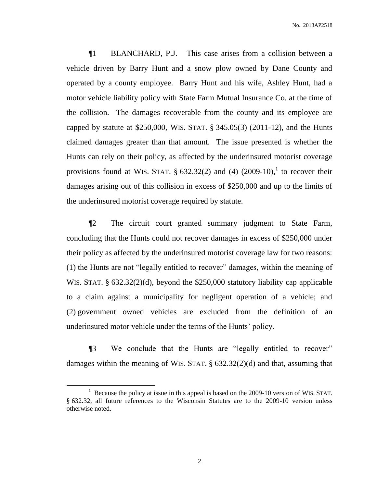¶1 BLANCHARD, P.J. This case arises from a collision between a vehicle driven by Barry Hunt and a snow plow owned by Dane County and operated by a county employee. Barry Hunt and his wife, Ashley Hunt, had a motor vehicle liability policy with State Farm Mutual Insurance Co. at the time of the collision. The damages recoverable from the county and its employee are capped by statute at \$250,000, WIS. STAT. § 345.05(3) (2011-12), and the Hunts claimed damages greater than that amount. The issue presented is whether the Hunts can rely on their policy, as affected by the underinsured motorist coverage provisions found at WIS. STAT.  $\S 632.32(2)$  and (4)  $(2009-10)$ , to recover their damages arising out of this collision in excess of \$250,000 and up to the limits of the underinsured motorist coverage required by statute.

¶2 The circuit court granted summary judgment to State Farm, concluding that the Hunts could not recover damages in excess of \$250,000 under their policy as affected by the underinsured motorist coverage law for two reasons: (1) the Hunts are not "legally entitled to recover" damages, within the meaning of WIS. STAT. § 632.32(2)(d), beyond the \$250,000 statutory liability cap applicable to a claim against a municipality for negligent operation of a vehicle; and (2) government owned vehicles are excluded from the definition of an underinsured motor vehicle under the terms of the Hunts' policy.

¶3 We conclude that the Hunts are "legally entitled to recover" damages within the meaning of WIS. STAT. § 632.32(2)(d) and that, assuming that

<sup>&</sup>lt;sup>1</sup> Because the policy at issue in this appeal is based on the 2009-10 version of WIS. STAT. § 632.32, all future references to the Wisconsin Statutes are to the 2009-10 version unless otherwise noted.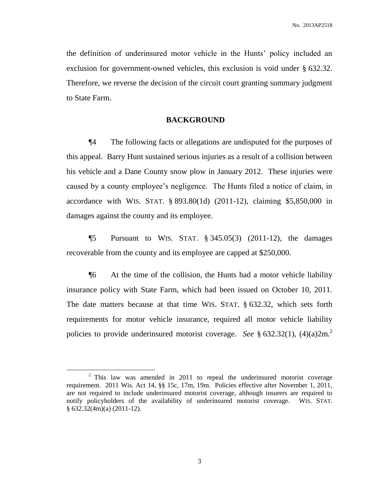the definition of underinsured motor vehicle in the Hunts' policy included an exclusion for government-owned vehicles, this exclusion is void under § 632.32. Therefore, we reverse the decision of the circuit court granting summary judgment to State Farm.

### **BACKGROUND**

¶4 The following facts or allegations are undisputed for the purposes of this appeal. Barry Hunt sustained serious injuries as a result of a collision between his vehicle and a Dane County snow plow in January 2012. These injuries were caused by a county employee's negligence. The Hunts filed a notice of claim, in accordance with WIS. STAT. § 893.80(1d) (2011-12), claiming \$5,850,000 in damages against the county and its employee.

**[5** Pursuant to WIS. STAT.  $\S 345.05(3)$  (2011-12), the damages recoverable from the county and its employee are capped at \$250,000.

¶6 At the time of the collision, the Hunts had a motor vehicle liability insurance policy with State Farm, which had been issued on October 10, 2011. The date matters because at that time WIS. STAT. § 632.32, which sets forth requirements for motor vehicle insurance, required all motor vehicle liability policies to provide underinsured motorist coverage. *See* § 632.32(1), (4)(a)2m.<sup>2</sup>

 $\overline{a}$ 

 $2$  This law was amended in 2011 to repeal the underinsured motorist coverage requirement. 2011 Wis. Act 14, §§ 15c, 17m, 19m. Policies effective after November 1, 2011, are not required to include underinsured motorist coverage, although insurers are required to notify policyholders of the availability of underinsured motorist coverage. WIS. STAT. § 632.32(4m)(a) (2011-12).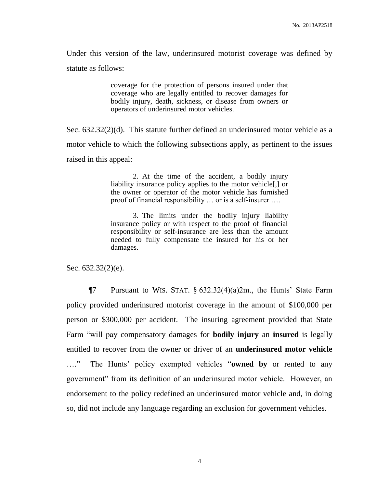Under this version of the law, underinsured motorist coverage was defined by statute as follows:

> coverage for the protection of persons insured under that coverage who are legally entitled to recover damages for bodily injury, death, sickness, or disease from owners or operators of underinsured motor vehicles.

Sec. 632.32(2)(d). This statute further defined an underinsured motor vehicle as a motor vehicle to which the following subsections apply, as pertinent to the issues raised in this appeal:

> 2. At the time of the accident, a bodily injury liability insurance policy applies to the motor vehicle[,] or the owner or operator of the motor vehicle has furnished proof of financial responsibility … or is a self-insurer ….

> 3. The limits under the bodily injury liability insurance policy or with respect to the proof of financial responsibility or self-insurance are less than the amount needed to fully compensate the insured for his or her damages.

Sec. 632.32(2)(e).

**T** $\frac{1}{2}$  Pursuant to WIS. STAT. § 632.32(4)(a)2m., the Hunts' State Farm policy provided underinsured motorist coverage in the amount of \$100,000 per person or \$300,000 per accident. The insuring agreement provided that State Farm "will pay compensatory damages for **bodily injury** an **insured** is legally entitled to recover from the owner or driver of an **underinsured motor vehicle** …." The Hunts' policy exempted vehicles "**owned by** or rented to any government" from its definition of an underinsured motor vehicle. However, an endorsement to the policy redefined an underinsured motor vehicle and, in doing so, did not include any language regarding an exclusion for government vehicles.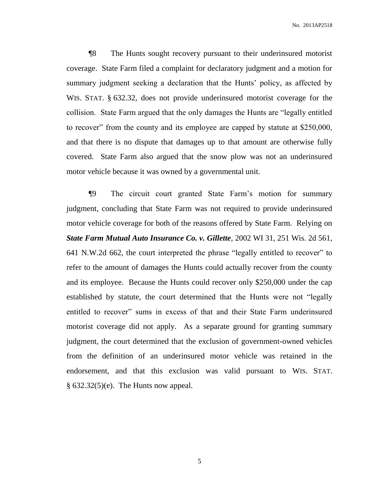No. 2013AP2518

¶8 The Hunts sought recovery pursuant to their underinsured motorist coverage. State Farm filed a complaint for declaratory judgment and a motion for summary judgment seeking a declaration that the Hunts' policy, as affected by WIS. STAT. § 632.32, does not provide underinsured motorist coverage for the collision. State Farm argued that the only damages the Hunts are "legally entitled to recover" from the county and its employee are capped by statute at \$250,000, and that there is no dispute that damages up to that amount are otherwise fully covered. State Farm also argued that the snow plow was not an underinsured motor vehicle because it was owned by a governmental unit.

¶9 The circuit court granted State Farm's motion for summary judgment, concluding that State Farm was not required to provide underinsured motor vehicle coverage for both of the reasons offered by State Farm. Relying on *State Farm Mutual Auto Insurance Co. v. Gillette*, 2002 WI 31, 251 Wis. 2d 561, 641 N.W.2d 662, the court interpreted the phrase "legally entitled to recover" to refer to the amount of damages the Hunts could actually recover from the county and its employee. Because the Hunts could recover only \$250,000 under the cap established by statute, the court determined that the Hunts were not "legally entitled to recover" sums in excess of that and their State Farm underinsured motorist coverage did not apply. As a separate ground for granting summary judgment, the court determined that the exclusion of government-owned vehicles from the definition of an underinsured motor vehicle was retained in the endorsement, and that this exclusion was valid pursuant to WIS. STAT.  $§ 632.32(5)(e)$ . The Hunts now appeal.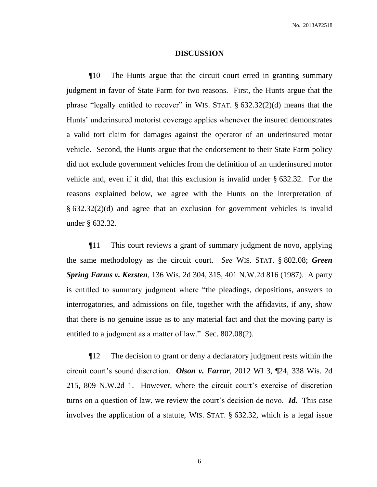### **DISCUSSION**

¶10 The Hunts argue that the circuit court erred in granting summary judgment in favor of State Farm for two reasons. First, the Hunts argue that the phrase "legally entitled to recover" in WIS. STAT.  $\S$  632.32(2)(d) means that the Hunts' underinsured motorist coverage applies whenever the insured demonstrates a valid tort claim for damages against the operator of an underinsured motor vehicle. Second, the Hunts argue that the endorsement to their State Farm policy did not exclude government vehicles from the definition of an underinsured motor vehicle and, even if it did, that this exclusion is invalid under § 632.32. For the reasons explained below, we agree with the Hunts on the interpretation of § 632.32(2)(d) and agree that an exclusion for government vehicles is invalid under § 632.32.

¶11 This court reviews a grant of summary judgment de novo, applying the same methodology as the circuit court. *See* WIS. STAT. § 802.08; *Green Spring Farms v. Kersten*, 136 Wis. 2d 304, 315, 401 N.W.2d 816 (1987). A party is entitled to summary judgment where "the pleadings, depositions, answers to interrogatories, and admissions on file, together with the affidavits, if any, show that there is no genuine issue as to any material fact and that the moving party is entitled to a judgment as a matter of law." Sec. 802.08(2).

¶12 The decision to grant or deny a declaratory judgment rests within the circuit court's sound discretion. *Olson v. Farrar*, 2012 WI 3, ¶24, 338 Wis. 2d 215, 809 N.W.2d 1. However, where the circuit court's exercise of discretion turns on a question of law, we review the court's decision de novo. *Id.* This case involves the application of a statute, WIS. STAT. § 632.32, which is a legal issue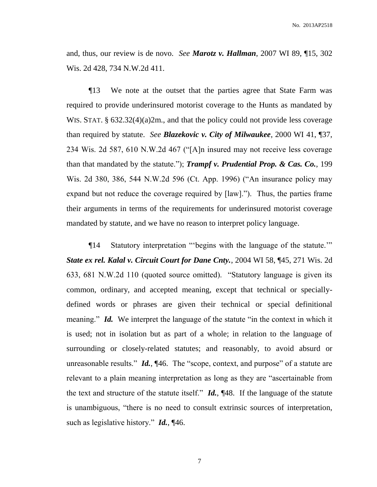and, thus, our review is de novo. *See Marotz v. Hallman*, 2007 WI 89, ¶15, 302 Wis. 2d 428, 734 N.W.2d 411.

¶13 We note at the outset that the parties agree that State Farm was required to provide underinsured motorist coverage to the Hunts as mandated by WIS. STAT. § 632.32(4)(a)2m., and that the policy could not provide less coverage than required by statute. *See Blazekovic v. City of Milwaukee*, 2000 WI 41, ¶37, 234 Wis. 2d 587, 610 N.W.2d 467 ("[A]n insured may not receive less coverage than that mandated by the statute."); *Trampf v. Prudential Prop. & Cas. Co.*, 199 Wis. 2d 380, 386, 544 N.W.2d 596 (Ct. App. 1996) ("An insurance policy may expand but not reduce the coverage required by [law]."). Thus, the parties frame their arguments in terms of the requirements for underinsured motorist coverage mandated by statute, and we have no reason to interpret policy language.

¶14 Statutory interpretation "'begins with the language of the statute.'" *State ex rel. Kalal v. Circuit Court for Dane Cnty.*, 2004 WI 58, ¶45, 271 Wis. 2d 633, 681 N.W.2d 110 (quoted source omitted). "Statutory language is given its common, ordinary, and accepted meaning, except that technical or speciallydefined words or phrases are given their technical or special definitional meaning." *Id.* We interpret the language of the statute "in the context in which it is used; not in isolation but as part of a whole; in relation to the language of surrounding or closely-related statutes; and reasonably, to avoid absurd or unreasonable results." *Id.*, ¶46. The "scope, context, and purpose" of a statute are relevant to a plain meaning interpretation as long as they are "ascertainable from the text and structure of the statute itself." *Id.*, ¶48. If the language of the statute is unambiguous, "there is no need to consult extrinsic sources of interpretation, such as legislative history." *Id.*, ¶46.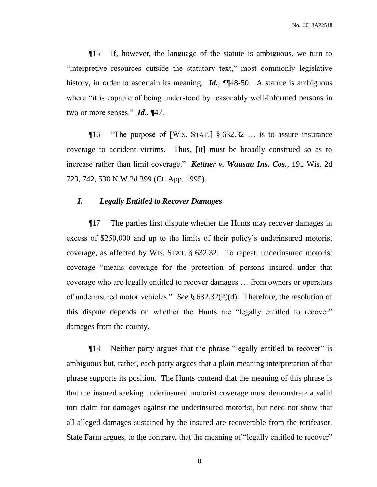¶15 If, however, the language of the statute is ambiguous, we turn to "interpretive resources outside the statutory text," most commonly legislative history, in order to ascertain its meaning. *Id.*, ¶¶48-50. A statute is ambiguous where "it is capable of being understood by reasonably well-informed persons in two or more senses." *Id.*, ¶47.

¶16 "The purpose of [WIS. STAT.] § 632.32 … is to assure insurance coverage to accident victims. Thus, [it] must be broadly construed so as to increase rather than limit coverage." *Kettner v. Wausau Ins. Cos.*, 191 Wis. 2d 723, 742, 530 N.W.2d 399 (Ct. App. 1995).

### *I. Legally Entitled to Recover Damages*

¶17 The parties first dispute whether the Hunts may recover damages in excess of \$250,000 and up to the limits of their policy's underinsured motorist coverage, as affected by WIS. STAT. § 632.32. To repeat, underinsured motorist coverage "means coverage for the protection of persons insured under that coverage who are legally entitled to recover damages … from owners or operators of underinsured motor vehicles." *See* § 632.32(2)(d). Therefore, the resolution of this dispute depends on whether the Hunts are "legally entitled to recover" damages from the county.

¶18 Neither party argues that the phrase "legally entitled to recover" is ambiguous but, rather, each party argues that a plain meaning interpretation of that phrase supports its position. The Hunts contend that the meaning of this phrase is that the insured seeking underinsured motorist coverage must demonstrate a valid tort claim for damages against the underinsured motorist, but need not show that all alleged damages sustained by the insured are recoverable from the tortfeasor. State Farm argues, to the contrary, that the meaning of "legally entitled to recover"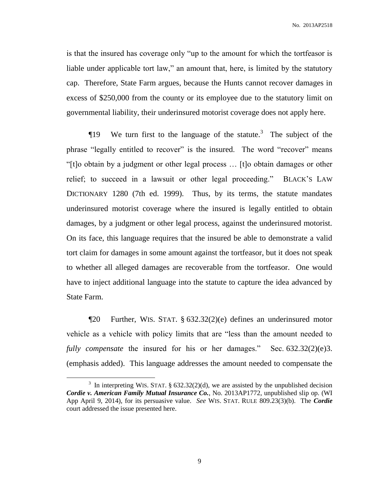is that the insured has coverage only "up to the amount for which the tortfeasor is liable under applicable tort law," an amount that, here, is limited by the statutory cap. Therefore, State Farm argues, because the Hunts cannot recover damages in excess of \$250,000 from the county or its employee due to the statutory limit on governmental liability, their underinsured motorist coverage does not apply here.

**The Stature 19** We turn first to the language of the statute.<sup>3</sup> The subject of the phrase "legally entitled to recover" is the insured. The word "recover" means "[t]o obtain by a judgment or other legal process … [t]o obtain damages or other relief; to succeed in a lawsuit or other legal proceeding." BLACK'S LAW DICTIONARY 1280 (7th ed. 1999). Thus, by its terms, the statute mandates underinsured motorist coverage where the insured is legally entitled to obtain damages, by a judgment or other legal process, against the underinsured motorist. On its face, this language requires that the insured be able to demonstrate a valid tort claim for damages in some amount against the tortfeasor, but it does not speak to whether all alleged damages are recoverable from the tortfeasor. One would have to inject additional language into the statute to capture the idea advanced by State Farm.

¶20 Further, WIS. STAT. § 632.32(2)(e) defines an underinsured motor vehicle as a vehicle with policy limits that are "less than the amount needed to *fully compensate* the insured for his or her damages." Sec. 632.32(2)(e)3. (emphasis added). This language addresses the amount needed to compensate the

 $\overline{a}$ 

<sup>&</sup>lt;sup>3</sup> In interpreting WIS. STAT. § 632.32(2)(d), we are assisted by the unpublished decision *Cordie v. American Family Mutual Insurance Co.*, No. 2013AP1772, unpublished slip op. (WI App April 9, 2014), for its persuasive value. *See* WIS. STAT. RULE 809.23(3)(b). The *Cordie* court addressed the issue presented here.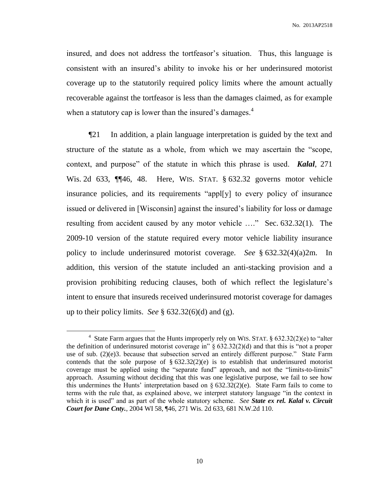insured, and does not address the tortfeasor's situation. Thus, this language is consistent with an insured's ability to invoke his or her underinsured motorist coverage up to the statutorily required policy limits where the amount actually recoverable against the tortfeasor is less than the damages claimed, as for example when a statutory cap is lower than the insured's damages. $4$ 

¶21 In addition, a plain language interpretation is guided by the text and structure of the statute as a whole, from which we may ascertain the "scope, context, and purpose" of the statute in which this phrase is used. *Kalal*, 271 Wis. 2d 633, ¶¶46, 48. Here, WIS. STAT. § 632.32 governs motor vehicle insurance policies, and its requirements "appl[y] to every policy of insurance issued or delivered in [Wisconsin] against the insured's liability for loss or damage resulting from accident caused by any motor vehicle …." Sec. 632.32(1). The 2009-10 version of the statute required every motor vehicle liability insurance policy to include underinsured motorist coverage. *See* § 632.32(4)(a)2m. In addition, this version of the statute included an anti-stacking provision and a provision prohibiting reducing clauses, both of which reflect the legislature's intent to ensure that insureds received underinsured motorist coverage for damages up to their policy limits. *See* § 632.32(6)(d) and (g).

<sup>&</sup>lt;sup>4</sup> State Farm argues that the Hunts improperly rely on WIS. STAT.  $\S$  632.32(2)(e) to "alter the definition of underinsured motorist coverage in" § 632.32(2)(d) and that this is "not a proper use of sub. (2)(e)3. because that subsection served an entirely different purpose." State Farm contends that the sole purpose of  $\S 632.32(2)(e)$  is to establish that underinsured motorist coverage must be applied using the "separate fund" approach, and not the "limits-to-limits" approach. Assuming without deciding that this was one legislative purpose, we fail to see how this undermines the Hunts' interpretation based on  $\S$  632.32(2)(e). State Farm fails to come to terms with the rule that, as explained above, we interpret statutory language "in the context in which it is used" and as part of the whole statutory scheme. *See State ex rel. Kalal v. Circuit Court for Dane Cnty.*, 2004 WI 58, ¶46, 271 Wis. 2d 633, 681 N.W.2d 110.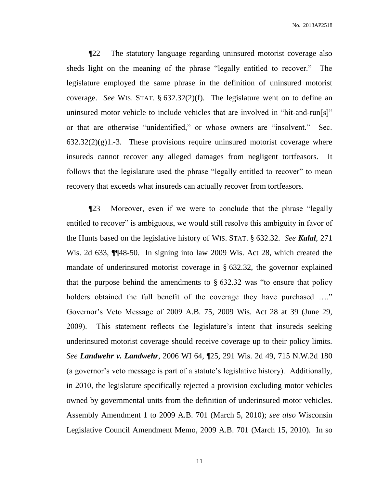¶22 The statutory language regarding uninsured motorist coverage also sheds light on the meaning of the phrase "legally entitled to recover." The legislature employed the same phrase in the definition of uninsured motorist coverage. *See* WIS. STAT. § 632.32(2)(f). The legislature went on to define an uninsured motor vehicle to include vehicles that are involved in "hit-and-run[s]" or that are otherwise "unidentified," or whose owners are "insolvent." Sec.  $632.32(2)(g)1.-3$ . These provisions require uninsured motorist coverage where insureds cannot recover any alleged damages from negligent tortfeasors. It follows that the legislature used the phrase "legally entitled to recover" to mean recovery that exceeds what insureds can actually recover from tortfeasors.

¶23 Moreover, even if we were to conclude that the phrase "legally entitled to recover" is ambiguous, we would still resolve this ambiguity in favor of the Hunts based on the legislative history of WIS. STAT. § 632.32. *See Kalal*, 271 Wis. 2d 633, ¶¶48-50. In signing into law 2009 Wis. Act 28, which created the mandate of underinsured motorist coverage in § 632.32, the governor explained that the purpose behind the amendments to  $\S$  632.32 was "to ensure that policy holders obtained the full benefit of the coverage they have purchased ...." Governor's Veto Message of 2009 A.B. 75, 2009 Wis. Act 28 at 39 (June 29, 2009). This statement reflects the legislature's intent that insureds seeking underinsured motorist coverage should receive coverage up to their policy limits. *See Landwehr v. Landwehr*, 2006 WI 64, ¶25, 291 Wis. 2d 49, 715 N.W.2d 180 (a governor's veto message is part of a statute's legislative history). Additionally, in 2010, the legislature specifically rejected a provision excluding motor vehicles owned by governmental units from the definition of underinsured motor vehicles. Assembly Amendment 1 to 2009 A.B. 701 (March 5, 2010); *see also* Wisconsin Legislative Council Amendment Memo, 2009 A.B. 701 (March 15, 2010). In so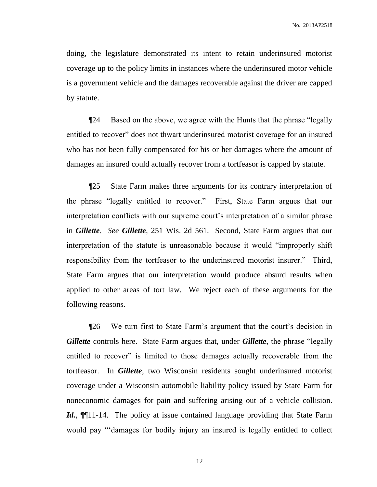doing, the legislature demonstrated its intent to retain underinsured motorist coverage up to the policy limits in instances where the underinsured motor vehicle is a government vehicle and the damages recoverable against the driver are capped by statute.

¶24 Based on the above, we agree with the Hunts that the phrase "legally entitled to recover" does not thwart underinsured motorist coverage for an insured who has not been fully compensated for his or her damages where the amount of damages an insured could actually recover from a tortfeasor is capped by statute.

¶25 State Farm makes three arguments for its contrary interpretation of the phrase "legally entitled to recover." First, State Farm argues that our interpretation conflicts with our supreme court's interpretation of a similar phrase in *Gillette*. *See Gillette*, 251 Wis. 2d 561. Second, State Farm argues that our interpretation of the statute is unreasonable because it would "improperly shift responsibility from the tortfeasor to the underinsured motorist insurer." Third, State Farm argues that our interpretation would produce absurd results when applied to other areas of tort law. We reject each of these arguments for the following reasons.

¶26 We turn first to State Farm's argument that the court's decision in *Gillette* controls here. State Farm argues that, under *Gillette*, the phrase "legally entitled to recover" is limited to those damages actually recoverable from the tortfeasor. In *Gillette*, two Wisconsin residents sought underinsured motorist coverage under a Wisconsin automobile liability policy issued by State Farm for noneconomic damages for pain and suffering arising out of a vehicle collision. *Id.*, **[11-14.** The policy at issue contained language providing that State Farm would pay "'damages for bodily injury an insured is legally entitled to collect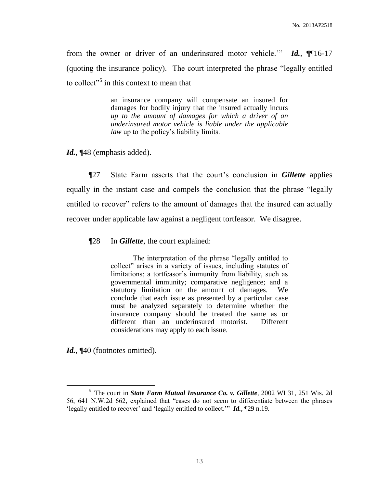from the owner or driver of an underinsured motor vehicle.'" *Id.*, ¶¶16-17 (quoting the insurance policy). The court interpreted the phrase "legally entitled to collect"<sup>5</sup> in this context to mean that

> an insurance company will compensate an insured for damages for bodily injury that the insured actually incurs *up to the amount of damages for which a driver of an underinsured motor vehicle is liable under the applicable law* up to the policy's liability limits.

*Id.*, ¶48 (emphasis added).

¶27 State Farm asserts that the court's conclusion in *Gillette* applies equally in the instant case and compels the conclusion that the phrase "legally entitled to recover" refers to the amount of damages that the insured can actually recover under applicable law against a negligent tortfeasor. We disagree.

¶28 In *Gillette*, the court explained:

The interpretation of the phrase "legally entitled to collect" arises in a variety of issues, including statutes of limitations; a tortfeasor's immunity from liability, such as governmental immunity; comparative negligence; and a statutory limitation on the amount of damages. We conclude that each issue as presented by a particular case must be analyzed separately to determine whether the insurance company should be treated the same as or different than an underinsured motorist. Different considerations may apply to each issue.

Id.,  $\P$ 40 (footnotes omitted).

<sup>5</sup> The court in *State Farm Mutual Insurance Co. v. Gillette*, 2002 WI 31, 251 Wis. 2d 56, 641 N.W.2d 662, explained that "cases do not seem to differentiate between the phrases 'legally entitled to recover' and 'legally entitled to collect.'" *Id.*, ¶29 n.19.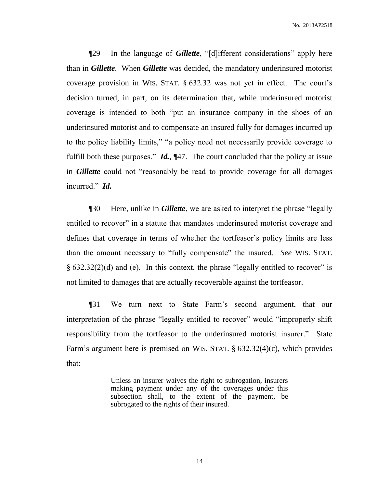¶29 In the language of *Gillette*, "[d]ifferent considerations" apply here than in *Gillette*. When *Gillette* was decided, the mandatory underinsured motorist coverage provision in WIS. STAT. § 632.32 was not yet in effect. The court's decision turned, in part, on its determination that, while underinsured motorist coverage is intended to both "put an insurance company in the shoes of an underinsured motorist and to compensate an insured fully for damages incurred up to the policy liability limits," "a policy need not necessarily provide coverage to fulfill both these purposes." *Id.*, ¶47. The court concluded that the policy at issue in *Gillette* could not "reasonably be read to provide coverage for all damages incurred." *Id.*

¶30 Here, unlike in *Gillette*, we are asked to interpret the phrase "legally entitled to recover" in a statute that mandates underinsured motorist coverage and defines that coverage in terms of whether the tortfeasor's policy limits are less than the amount necessary to "fully compensate" the insured. *See* WIS. STAT. § 632.32(2)(d) and (e). In this context, the phrase "legally entitled to recover" is not limited to damages that are actually recoverable against the tortfeasor.

¶31 We turn next to State Farm's second argument, that our interpretation of the phrase "legally entitled to recover" would "improperly shift responsibility from the tortfeasor to the underinsured motorist insurer." State Farm's argument here is premised on WIS. STAT. § 632.32(4)(c), which provides that:

> Unless an insurer waives the right to subrogation, insurers making payment under any of the coverages under this subsection shall, to the extent of the payment, be subrogated to the rights of their insured.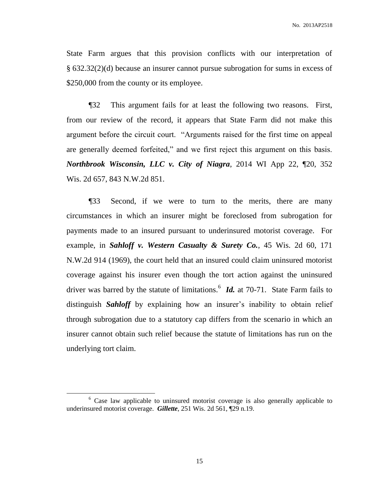State Farm argues that this provision conflicts with our interpretation of § 632.32(2)(d) because an insurer cannot pursue subrogation for sums in excess of \$250,000 from the county or its employee.

¶32 This argument fails for at least the following two reasons. First, from our review of the record, it appears that State Farm did not make this argument before the circuit court. "Arguments raised for the first time on appeal are generally deemed forfeited," and we first reject this argument on this basis. *Northbrook Wisconsin, LLC v. City of Niagra*, 2014 WI App 22, ¶20, 352 Wis. 2d 657, 843 N.W.2d 851.

¶33 Second, if we were to turn to the merits, there are many circumstances in which an insurer might be foreclosed from subrogation for payments made to an insured pursuant to underinsured motorist coverage. For example, in *Sahloff v. Western Casualty & Surety Co.*, 45 Wis. 2d 60, 171 N.W.2d 914 (1969), the court held that an insured could claim uninsured motorist coverage against his insurer even though the tort action against the uninsured driver was barred by the statute of limitations.<sup>6</sup> *Id.* at 70-71. State Farm fails to distinguish *Sahloff* by explaining how an insurer's inability to obtain relief through subrogation due to a statutory cap differs from the scenario in which an insurer cannot obtain such relief because the statute of limitations has run on the underlying tort claim.

<sup>&</sup>lt;sup>6</sup> Case law applicable to uninsured motorist coverage is also generally applicable to underinsured motorist coverage. *Gillette*, 251 Wis. 2d 561, ¶29 n.19.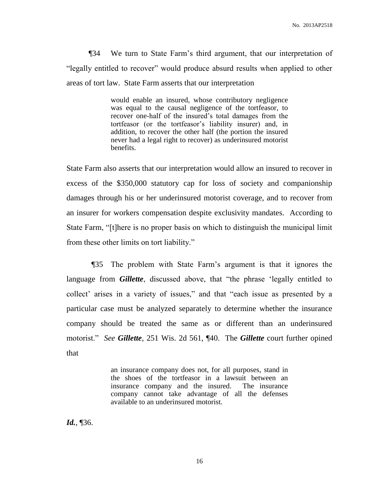¶34 We turn to State Farm's third argument, that our interpretation of "legally entitled to recover" would produce absurd results when applied to other areas of tort law. State Farm asserts that our interpretation

> would enable an insured, whose contributory negligence was equal to the causal negligence of the tortfeasor, to recover one-half of the insured's total damages from the tortfeasor (or the tortfeasor's liability insurer) and, in addition, to recover the other half (the portion the insured never had a legal right to recover) as underinsured motorist benefits.

State Farm also asserts that our interpretation would allow an insured to recover in excess of the \$350,000 statutory cap for loss of society and companionship damages through his or her underinsured motorist coverage, and to recover from an insurer for workers compensation despite exclusivity mandates. According to State Farm, "[t]here is no proper basis on which to distinguish the municipal limit from these other limits on tort liability."

¶35 The problem with State Farm's argument is that it ignores the language from *Gillette*, discussed above, that "the phrase 'legally entitled to collect' arises in a variety of issues," and that "each issue as presented by a particular case must be analyzed separately to determine whether the insurance company should be treated the same as or different than an underinsured motorist." *See Gillette*, 251 Wis. 2d 561, ¶40. The *Gillette* court further opined that

> an insurance company does not, for all purposes, stand in the shoes of the tortfeasor in a lawsuit between an insurance company and the insured. The insurance company cannot take advantage of all the defenses available to an underinsured motorist.

*Id.*, ¶36.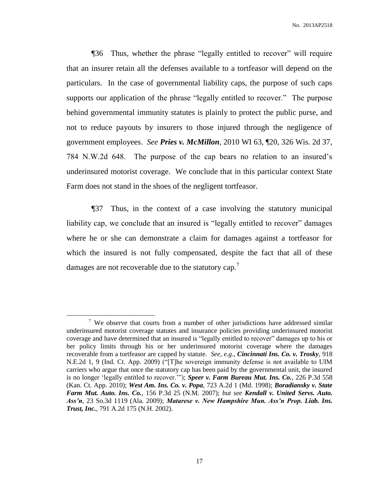¶36 Thus, whether the phrase "legally entitled to recover" will require that an insurer retain all the defenses available to a tortfeasor will depend on the particulars. In the case of governmental liability caps, the purpose of such caps supports our application of the phrase "legally entitled to recover." The purpose behind governmental immunity statutes is plainly to protect the public purse, and not to reduce payouts by insurers to those injured through the negligence of government employees. *See Pries v. McMillon*, 2010 WI 63, ¶20, 326 Wis. 2d 37, 784 N.W.2d 648. The purpose of the cap bears no relation to an insured's underinsured motorist coverage. We conclude that in this particular context State Farm does not stand in the shoes of the negligent tortfeasor.

¶37 Thus, in the context of a case involving the statutory municipal liability cap, we conclude that an insured is "legally entitled to recover" damages where he or she can demonstrate a claim for damages against a tortfeasor for which the insured is not fully compensated, despite the fact that all of these damages are not recoverable due to the statutory cap.<sup>7</sup>

<sup>&</sup>lt;sup>7</sup> We observe that courts from a number of other jurisdictions have addressed similar underinsured motorist coverage statutes and insurance policies providing underinsured motorist coverage and have determined that an insured is "legally entitled to recover" damages up to his or her policy limits through his or her underinsured motorist coverage where the damages recoverable from a tortfeasor are capped by statute. *See, e.g.*, *Cincinnati Ins. Co. v. Trosky*, 918 N.E.2d 1, 9 (Ind. Ct. App. 2009) ("[T]he sovereign immunity defense is not available to UIM carriers who argue that once the statutory cap has been paid by the governmental unit, the insured is no longer 'legally entitled to recover.'"); *Speer v. Farm Bureau Mut. Ins. Co.*, 226 P.3d 558 (Kan. Ct. App. 2010); *West Am. Ins. Co. v. Popa*, 723 A.2d 1 (Md. 1998); *Boradiansky v. State Farm Mut. Auto. Ins. Co.*, 156 P.3d 25 (N.M. 2007); *but see Kendall v. United Servs. Auto. Ass'n*, 23 So.3d 1119 (Ala. 2009); *Matarese v. New Hampshire Mun. Ass'n Prop. Liab. Ins. Trust, Inc.*, 791 A.2d 175 (N.H. 2002).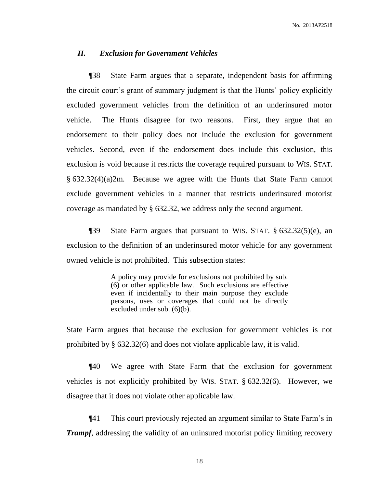### *II. Exclusion for Government Vehicles*

¶38 State Farm argues that a separate, independent basis for affirming the circuit court's grant of summary judgment is that the Hunts' policy explicitly excluded government vehicles from the definition of an underinsured motor vehicle. The Hunts disagree for two reasons. First, they argue that an endorsement to their policy does not include the exclusion for government vehicles. Second, even if the endorsement does include this exclusion, this exclusion is void because it restricts the coverage required pursuant to WIS. STAT. § 632.32(4)(a)2m. Because we agree with the Hunts that State Farm cannot exclude government vehicles in a manner that restricts underinsured motorist coverage as mandated by § 632.32, we address only the second argument.

¶39 State Farm argues that pursuant to WIS. STAT. § 632.32(5)(e), an exclusion to the definition of an underinsured motor vehicle for any government owned vehicle is not prohibited. This subsection states:

> A policy may provide for exclusions not prohibited by sub. (6) or other applicable law. Such exclusions are effective even if incidentally to their main purpose they exclude persons, uses or coverages that could not be directly excluded under sub. (6)(b).

State Farm argues that because the exclusion for government vehicles is not prohibited by § 632.32(6) and does not violate applicable law, it is valid.

¶40 We agree with State Farm that the exclusion for government vehicles is not explicitly prohibited by WIS. STAT. § 632.32(6). However, we disagree that it does not violate other applicable law.

¶41 This court previously rejected an argument similar to State Farm's in *Trampf*, addressing the validity of an uninsured motorist policy limiting recovery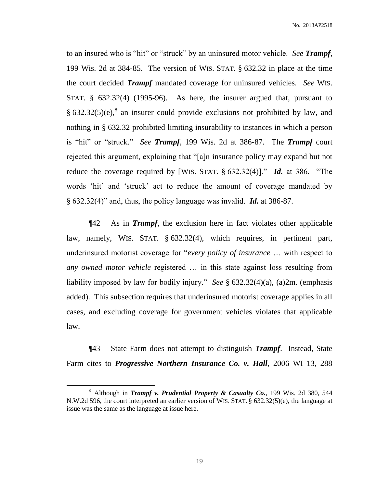No. 2013AP2518

to an insured who is "hit" or "struck" by an uninsured motor vehicle. *See Trampf*, 199 Wis. 2d at 384-85. The version of WIS. STAT. § 632.32 in place at the time the court decided *Trampf* mandated coverage for uninsured vehicles. *See* WIS. STAT. § 632.32(4) (1995-96). As here, the insurer argued that, pursuant to §  $632.32(5)$ (e),<sup>8</sup> an insurer could provide exclusions not prohibited by law, and nothing in § 632.32 prohibited limiting insurability to instances in which a person is "hit" or "struck." *See Trampf*, 199 Wis. 2d at 386-87. The *Trampf* court rejected this argument, explaining that "[a]n insurance policy may expand but not reduce the coverage required by [WIS. STAT. § 632.32(4)]." *Id.* at 386. "The words 'hit' and 'struck' act to reduce the amount of coverage mandated by § 632.32(4)" and, thus, the policy language was invalid. *Id.* at 386-87.

¶42 As in *Trampf*, the exclusion here in fact violates other applicable law, namely, WIS. STAT. § 632.32(4), which requires, in pertinent part, underinsured motorist coverage for "*every policy of insurance* … with respect to *any owned motor vehicle* registered … in this state against loss resulting from liability imposed by law for bodily injury." *See* § 632.32(4)(a), (a)2m. (emphasis added). This subsection requires that underinsured motorist coverage applies in all cases, and excluding coverage for government vehicles violates that applicable law.

¶43 State Farm does not attempt to distinguish *Trampf*. Instead, State Farm cites to *Progressive Northern Insurance Co. v. Hall*, 2006 WI 13, 288

<sup>8</sup> Although in *Trampf v. Prudential Property & Casualty Co.*, 199 Wis. 2d 380, 544 N.W.2d 596, the court interpreted an earlier version of WIS. STAT. § 632.32(5)(e), the language at issue was the same as the language at issue here.